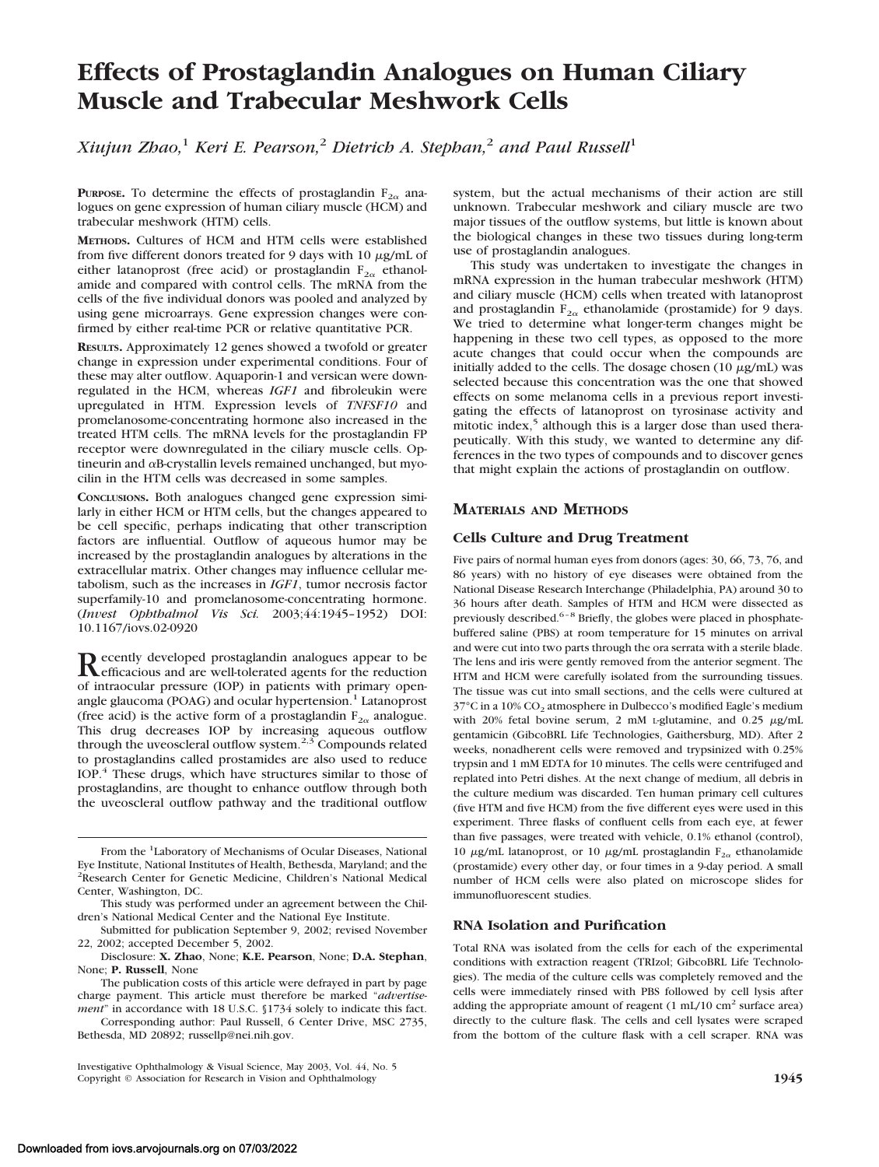# **Effects of Prostaglandin Analogues on Human Ciliary Muscle and Trabecular Meshwork Cells**

*Xiujun Zhao,*<sup>1</sup> *Keri E. Pearson,*<sup>2</sup> *Dietrich A. Stephan,*<sup>2</sup> *and Paul Russell*<sup>1</sup>

**PURPOSE.** To determine the effects of prostaglandin  $F_{2\alpha}$  analogues on gene expression of human ciliary muscle (HCM) and trabecular meshwork (HTM) cells.

**METHODS.** Cultures of HCM and HTM cells were established from five different donors treated for 9 days with  $10 \mu g/mL$  of either latanoprost (free acid) or prostaglandin  $F_{2\alpha}$  ethanolamide and compared with control cells. The mRNA from the cells of the five individual donors was pooled and analyzed by using gene microarrays. Gene expression changes were confirmed by either real-time PCR or relative quantitative PCR.

**RESULTS.** Approximately 12 genes showed a twofold or greater change in expression under experimental conditions. Four of these may alter outflow. Aquaporin-1 and versican were downregulated in the HCM, whereas *IGF1* and fibroleukin were upregulated in HTM. Expression levels of *TNFSF10* and promelanosome-concentrating hormone also increased in the treated HTM cells. The mRNA levels for the prostaglandin FP receptor were downregulated in the ciliary muscle cells. Optineurin and  $\alpha$ B-crystallin levels remained unchanged, but myocilin in the HTM cells was decreased in some samples.

**CONCLUSIONS.** Both analogues changed gene expression similarly in either HCM or HTM cells, but the changes appeared to be cell specific, perhaps indicating that other transcription factors are influential. Outflow of aqueous humor may be increased by the prostaglandin analogues by alterations in the extracellular matrix. Other changes may influence cellular metabolism, such as the increases in *IGF1*, tumor necrosis factor superfamily-10 and promelanosome-concentrating hormone. (*Invest Ophthalmol Vis Sci.* 2003;44:1945–1952) DOI: 10.1167/iovs.02-0920

Recently developed prostaglandin analogues appear to be<br>reficacious and are well-tolerated agents for the reduction of intraocular pressure (IOP) in patients with primary openangle glaucoma (POAG) and ocular hypertension.<sup>1</sup> Latanoprost (free acid) is the active form of a prostaglandin  $F_{2\alpha}$  analogue. This drug decreases IOP by increasing aqueous outflow through the uveoscleral outflow system.<sup>2,3</sup> Compounds related to prostaglandins called prostamides are also used to reduce IOP.<sup>4</sup> These drugs, which have structures similar to those of prostaglandins, are thought to enhance outflow through both the uveoscleral outflow pathway and the traditional outflow

system, but the actual mechanisms of their action are still unknown. Trabecular meshwork and ciliary muscle are two major tissues of the outflow systems, but little is known about the biological changes in these two tissues during long-term use of prostaglandin analogues.

This study was undertaken to investigate the changes in mRNA expression in the human trabecular meshwork (HTM) and ciliary muscle (HCM) cells when treated with latanoprost and prostaglandin  $F_{2\alpha}$  ethanolamide (prostamide) for 9 days. We tried to determine what longer-term changes might be happening in these two cell types, as opposed to the more acute changes that could occur when the compounds are initially added to the cells. The dosage chosen  $(10 \ \mu\text{g/mL})$  was selected because this concentration was the one that showed effects on some melanoma cells in a previous report investigating the effects of latanoprost on tyrosinase activity and mitotic index, $5$  although this is a larger dose than used therapeutically. With this study, we wanted to determine any differences in the two types of compounds and to discover genes that might explain the actions of prostaglandin on outflow.

# **MATERIALS AND METHODS**

# **Cells Culture and Drug Treatment**

Five pairs of normal human eyes from donors (ages: 30, 66, 73, 76, and 86 years) with no history of eye diseases were obtained from the National Disease Research Interchange (Philadelphia, PA) around 30 to 36 hours after death. Samples of HTM and HCM were dissected as previously described.<sup>6-8</sup> Briefly, the globes were placed in phosphatebuffered saline (PBS) at room temperature for 15 minutes on arrival and were cut into two parts through the ora serrata with a sterile blade. The lens and iris were gently removed from the anterior segment. The HTM and HCM were carefully isolated from the surrounding tissues. The tissue was cut into small sections, and the cells were cultured at  $37^{\circ}$ C in a 10% CO<sub>2</sub> atmosphere in Dulbecco's modified Eagle's medium with 20% fetal bovine serum, 2 mM L-glutamine, and  $0.25 \mu g/mL$ gentamicin (GibcoBRL Life Technologies, Gaithersburg, MD). After 2 weeks, nonadherent cells were removed and trypsinized with 0.25% trypsin and 1 mM EDTA for 10 minutes. The cells were centrifuged and replated into Petri dishes. At the next change of medium, all debris in the culture medium was discarded. Ten human primary cell cultures (five HTM and five HCM) from the five different eyes were used in this experiment. Three flasks of confluent cells from each eye, at fewer than five passages, were treated with vehicle, 0.1% ethanol (control), 10  $\mu$ g/mL latanoprost, or 10  $\mu$ g/mL prostaglandin F<sub>2 $\alpha$ </sub> ethanolamide (prostamide) every other day, or four times in a 9-day period. A small number of HCM cells were also plated on microscope slides for immunofluorescent studies.

## **RNA Isolation and Purification**

Total RNA was isolated from the cells for each of the experimental conditions with extraction reagent (TRIzol; GibcoBRL Life Technologies). The media of the culture cells was completely removed and the cells were immediately rinsed with PBS followed by cell lysis after adding the appropriate amount of reagent  $(1 \text{ mL}/10 \text{ cm}^2 \text{ surface area})$ directly to the culture flask. The cells and cell lysates were scraped from the bottom of the culture flask with a cell scraper. RNA was

From the <sup>1</sup>Laboratory of Mechanisms of Ocular Diseases, National Eye Institute, National Institutes of Health, Bethesda, Maryland; and the <sup>2</sup>Research Center for Genetic Medicine, Children's National Medical Center, Washington, DC.

This study was performed under an agreement between the Children's National Medical Center and the National Eye Institute.

Submitted for publication September 9, 2002; revised November 22, 2002; accepted December 5, 2002.

Disclosure: **X. Zhao**, None; **K.E. Pearson**, None; **D.A. Stephan**, None; **P. Russell**, None

The publication costs of this article were defrayed in part by page charge payment. This article must therefore be marked "*advertisement*" in accordance with 18 U.S.C. §1734 solely to indicate this fact.

Corresponding author: Paul Russell, 6 Center Drive, MSC 2735, Bethesda, MD 20892; russellp@nei.nih.gov.

Investigative Ophthalmology & Visual Science, May 2003, Vol. 44, No. 5 Copyright © Association for Research in Vision and Ophthalmology **1945**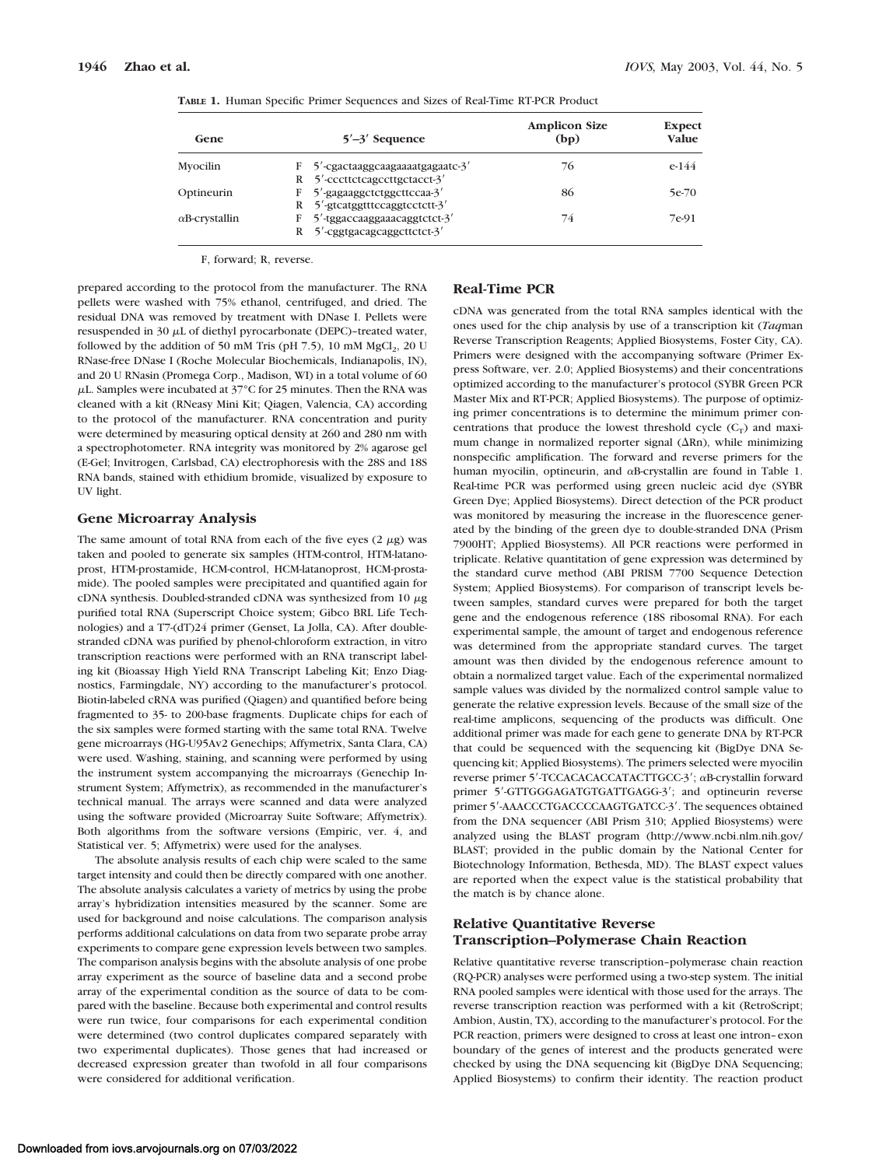| $5'$ –3' Sequence                      | <b>Amplicon Size</b><br>(bp)  | <b>Expect</b><br>Value |
|----------------------------------------|-------------------------------|------------------------|
| $F = 5'$ -cgactaaggcaagaaaatgagaatc-3' | 76                            | $e-144$                |
|                                        |                               |                        |
| F 5'-gagaaggctctggcttccaa-3'           | 86                            | 5e-70                  |
| $R$ 5'-gicatggtttccaggtcctctt-3'       |                               |                        |
| F 5'-tggaccaaggaaacaggtctct-3'         | 74                            | 7e-91                  |
| $R$ 5'-cggtgacagcaggcttctct-3'         |                               |                        |
|                                        | R 5'-cccttctcagccttgctacct-3' |                        |

|  |  |  |  |  | TABLE 1. Human Specific Primer Sequences and Sizes of Real-Time RT-PCR Product |  |  |
|--|--|--|--|--|--------------------------------------------------------------------------------|--|--|
|--|--|--|--|--|--------------------------------------------------------------------------------|--|--|

F, forward; R, reverse.

prepared according to the protocol from the manufacturer. The RNA pellets were washed with 75% ethanol, centrifuged, and dried. The residual DNA was removed by treatment with DNase I. Pellets were resuspended in 30 µL of diethyl pyrocarbonate (DEPC)-treated water, followed by the addition of 50 mM Tris (pH 7.5), 10 mM  $MgCl<sub>2</sub>$ , 20 U RNase-free DNase I (Roche Molecular Biochemicals, Indianapolis, IN), and 20 U RNasin (Promega Corp., Madison, WI) in a total volume of 60  $\mu$ L. Samples were incubated at 37°C for 25 minutes. Then the RNA was cleaned with a kit (RNeasy Mini Kit; Qiagen, Valencia, CA) according to the protocol of the manufacturer. RNA concentration and purity were determined by measuring optical density at 260 and 280 nm with a spectrophotometer. RNA integrity was monitored by 2% agarose gel (E-Gel; Invitrogen, Carlsbad, CA) electrophoresis with the 28S and 18S RNA bands, stained with ethidium bromide, visualized by exposure to UV light.

## **Gene Microarray Analysis**

The same amount of total RNA from each of the five eyes  $(2 \mu g)$  was taken and pooled to generate six samples (HTM-control, HTM-latanoprost, HTM-prostamide, HCM-control, HCM-latanoprost, HCM-prostamide). The pooled samples were precipitated and quantified again for  $cDNA$  synthesis. Doubled-stranded  $cDNA$  was synthesized from  $10 \mu g$ purified total RNA (Superscript Choice system; Gibco BRL Life Technologies) and a T7-(dT)24 primer (Genset, La Jolla, CA). After doublestranded cDNA was purified by phenol-chloroform extraction, in vitro transcription reactions were performed with an RNA transcript labeling kit (Bioassay High Yield RNA Transcript Labeling Kit; Enzo Diagnostics, Farmingdale, NY) according to the manufacturer's protocol. Biotin-labeled cRNA was purified (Qiagen) and quantified before being fragmented to 35- to 200-base fragments. Duplicate chips for each of the six samples were formed starting with the same total RNA. Twelve gene microarrays (HG-U95Av2 Genechips; Affymetrix, Santa Clara, CA) were used. Washing, staining, and scanning were performed by using the instrument system accompanying the microarrays (Genechip Instrument System; Affymetrix), as recommended in the manufacturer's technical manual. The arrays were scanned and data were analyzed using the software provided (Microarray Suite Software; Affymetrix). Both algorithms from the software versions (Empiric, ver. 4, and Statistical ver. 5; Affymetrix) were used for the analyses.

The absolute analysis results of each chip were scaled to the same target intensity and could then be directly compared with one another. The absolute analysis calculates a variety of metrics by using the probe array's hybridization intensities measured by the scanner. Some are used for background and noise calculations. The comparison analysis performs additional calculations on data from two separate probe array experiments to compare gene expression levels between two samples. The comparison analysis begins with the absolute analysis of one probe array experiment as the source of baseline data and a second probe array of the experimental condition as the source of data to be compared with the baseline. Because both experimental and control results were run twice, four comparisons for each experimental condition were determined (two control duplicates compared separately with two experimental duplicates). Those genes that had increased or decreased expression greater than twofold in all four comparisons were considered for additional verification.

## **Real-Time PCR**

cDNA was generated from the total RNA samples identical with the ones used for the chip analysis by use of a transcription kit (*Taq*man Reverse Transcription Reagents; Applied Biosystems, Foster City, CA). Primers were designed with the accompanying software (Primer Express Software, ver. 2.0; Applied Biosystems) and their concentrations optimized according to the manufacturer's protocol (SYBR Green PCR Master Mix and RT-PCR; Applied Biosystems). The purpose of optimizing primer concentrations is to determine the minimum primer concentrations that produce the lowest threshold cycle  $(C_T)$  and maximum change in normalized reporter signal  $(\Delta Rn)$ , while minimizing nonspecific amplification. The forward and reverse primers for the human myocilin, optineurin, and  $\alpha$ B-crystallin are found in Table 1. Real-time PCR was performed using green nucleic acid dye (SYBR Green Dye; Applied Biosystems). Direct detection of the PCR product was monitored by measuring the increase in the fluorescence generated by the binding of the green dye to double-stranded DNA (Prism 7900HT; Applied Biosystems). All PCR reactions were performed in triplicate. Relative quantitation of gene expression was determined by the standard curve method (ABI PRISM 7700 Sequence Detection System; Applied Biosystems). For comparison of transcript levels between samples, standard curves were prepared for both the target gene and the endogenous reference (18S ribosomal RNA). For each experimental sample, the amount of target and endogenous reference was determined from the appropriate standard curves. The target amount was then divided by the endogenous reference amount to obtain a normalized target value. Each of the experimental normalized sample values was divided by the normalized control sample value to generate the relative expression levels. Because of the small size of the real-time amplicons, sequencing of the products was difficult. One additional primer was made for each gene to generate DNA by RT-PCR that could be sequenced with the sequencing kit (BigDye DNA Sequencing kit; Applied Biosystems). The primers selected were myocilin reverse primer 5'-TCCACACACCATACTTGCC-3'; aB-crystallin forward primer 5'-GTTGGGAGATGTGATTGAGG-3'; and optineurin reverse primer 5'-AAACCCTGACCCCAAGTGATCC-3'. The sequences obtained from the DNA sequencer (ABI Prism 310; Applied Biosystems) were analyzed using the BLAST program (http://www.ncbi.nlm.nih.gov/ BLAST; provided in the public domain by the National Center for Biotechnology Information, Bethesda, MD). The BLAST expect values are reported when the expect value is the statistical probability that the match is by chance alone.

# **Relative Quantitative Reverse Transcription–Polymerase Chain Reaction**

Relative quantitative reverse transcription–polymerase chain reaction (RQ-PCR) analyses were performed using a two-step system. The initial RNA pooled samples were identical with those used for the arrays. The reverse transcription reaction was performed with a kit (RetroScript; Ambion, Austin, TX), according to the manufacturer's protocol. For the PCR reaction, primers were designed to cross at least one intron–exon boundary of the genes of interest and the products generated were checked by using the DNA sequencing kit (BigDye DNA Sequencing; Applied Biosystems) to confirm their identity. The reaction product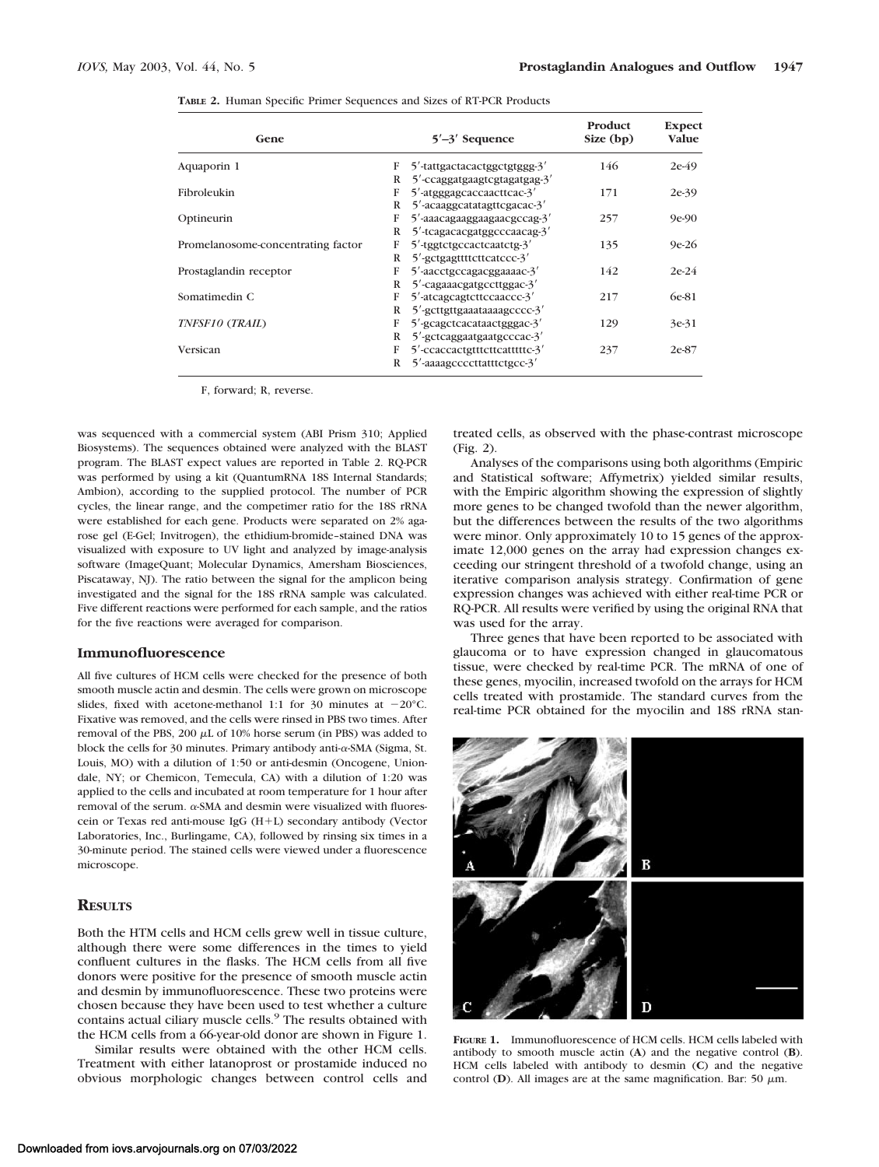**TABLE 2.** Human Specific Primer Sequences and Sizes of RT-PCR Products

| Gene                               |   | $5'$ -3' Sequence               | Product<br>Size (bp) | <b>Expect</b><br><b>Value</b> |
|------------------------------------|---|---------------------------------|----------------------|-------------------------------|
| Aquaporin 1                        | F | 5'-tattgactacactggctgtggg-3'    | 146                  | $2e-49$                       |
|                                    | R | 5'-ccaggatgaagtcgtagatgag-3'    |                      |                               |
| Fibroleukin                        | F | 5'-atgggagcaccaacttcac-3'       | 171                  | $2e-39$                       |
|                                    | R | 5'-acaaggcatatagttcgacac-3'     |                      |                               |
| Optineurin                         | F | 5'-aaacagaaggaagaacgccag-3'     | 257                  | $9e-90$                       |
|                                    | R | 5'-tcagacacgatggcccaacag-3'     |                      |                               |
| Promelanosome-concentrating factor | F | $5'$ -tggtctgccactcaatctg- $3'$ | 135                  | $9e-26$                       |
|                                    | R | 5'-gctgagttttcttcatccc-3'       |                      |                               |
| Prostaglandin receptor             | F | 5'-aacctgccagacggaaaac-3'       | 142                  | $2e-24$                       |
|                                    | R | 5'-cagaaacgatgccttggac-3'       |                      |                               |
| Somatimedin C                      | F | 5'-atcagcagtcttccaaccc-3'       | 217                  | 6e-81                         |
|                                    | R | 5'-gcttgttgaaataaaagcccc-3'     |                      |                               |
| TNFSF10 (TRAIL)                    | F | 5'-gcagctcacataactgggac-3'      | 129                  | 3e-31                         |
|                                    | R | 5'-gctcaggaatgaatgcccac-3'      |                      |                               |
| Versican                           | F | 5'-ccaccactgtttcttcatttttc-3'   | 237                  | 2e-87                         |
|                                    | R | 5'-aaaagcccccttatttctgcc-3'     |                      |                               |

F, forward; R, reverse.

was sequenced with a commercial system (ABI Prism 310; Applied Biosystems). The sequences obtained were analyzed with the BLAST program. The BLAST expect values are reported in Table 2. RQ-PCR was performed by using a kit (QuantumRNA 18S Internal Standards; Ambion), according to the supplied protocol. The number of PCR cycles, the linear range, and the competimer ratio for the 18S rRNA were established for each gene. Products were separated on 2% agarose gel (E-Gel; Invitrogen), the ethidium-bromide–stained DNA was visualized with exposure to UV light and analyzed by image-analysis software (ImageQuant; Molecular Dynamics, Amersham Biosciences, Piscataway, NJ). The ratio between the signal for the amplicon being investigated and the signal for the 18S rRNA sample was calculated. Five different reactions were performed for each sample, and the ratios for the five reactions were averaged for comparison.

#### **Immunofluorescence**

All five cultures of HCM cells were checked for the presence of both smooth muscle actin and desmin. The cells were grown on microscope slides, fixed with acetone-methanol 1:1 for 30 minutes at  $-20^{\circ}$ C. Fixative was removed, and the cells were rinsed in PBS two times. After removal of the PBS, 200  $\mu$ L of 10% horse serum (in PBS) was added to block the cells for 30 minutes. Primary antibody anti- $\alpha$ -SMA (Sigma, St. Louis, MO) with a dilution of 1:50 or anti-desmin (Oncogene, Uniondale, NY; or Chemicon, Temecula, CA) with a dilution of 1:20 was applied to the cells and incubated at room temperature for 1 hour after removal of the serum.  $\alpha$ -SMA and desmin were visualized with fluorescein or Texas red anti-mouse IgG  $(H+L)$  secondary antibody (Vector Laboratories, Inc., Burlingame, CA), followed by rinsing six times in a 30-minute period. The stained cells were viewed under a fluorescence microscope.

## **RESULTS**

Both the HTM cells and HCM cells grew well in tissue culture, although there were some differences in the times to yield confluent cultures in the flasks. The HCM cells from all five donors were positive for the presence of smooth muscle actin and desmin by immunofluorescence. These two proteins were chosen because they have been used to test whether a culture contains actual ciliary muscle cells.<sup>9</sup> The results obtained with the HCM cells from a 66-year-old donor are shown in Figure 1.

Similar results were obtained with the other HCM cells. Treatment with either latanoprost or prostamide induced no obvious morphologic changes between control cells and

treated cells, as observed with the phase-contrast microscope (Fig. 2).

Analyses of the comparisons using both algorithms (Empiric and Statistical software; Affymetrix) yielded similar results, with the Empiric algorithm showing the expression of slightly more genes to be changed twofold than the newer algorithm, but the differences between the results of the two algorithms were minor. Only approximately 10 to 15 genes of the approximate 12,000 genes on the array had expression changes exceeding our stringent threshold of a twofold change, using an iterative comparison analysis strategy. Confirmation of gene expression changes was achieved with either real-time PCR or RQ-PCR. All results were verified by using the original RNA that was used for the array.

Three genes that have been reported to be associated with glaucoma or to have expression changed in glaucomatous tissue, were checked by real-time PCR. The mRNA of one of these genes, myocilin, increased twofold on the arrays for HCM cells treated with prostamide. The standard curves from the real-time PCR obtained for the myocilin and 18S rRNA stan-



**FIGURE 1.** Immunofluorescence of HCM cells. HCM cells labeled with antibody to smooth muscle actin (**A**) and the negative control (**B**). HCM cells labeled with antibody to desmin (**C**) and the negative control  $(D)$ . All images are at the same magnification. Bar: 50  $\mu$ m.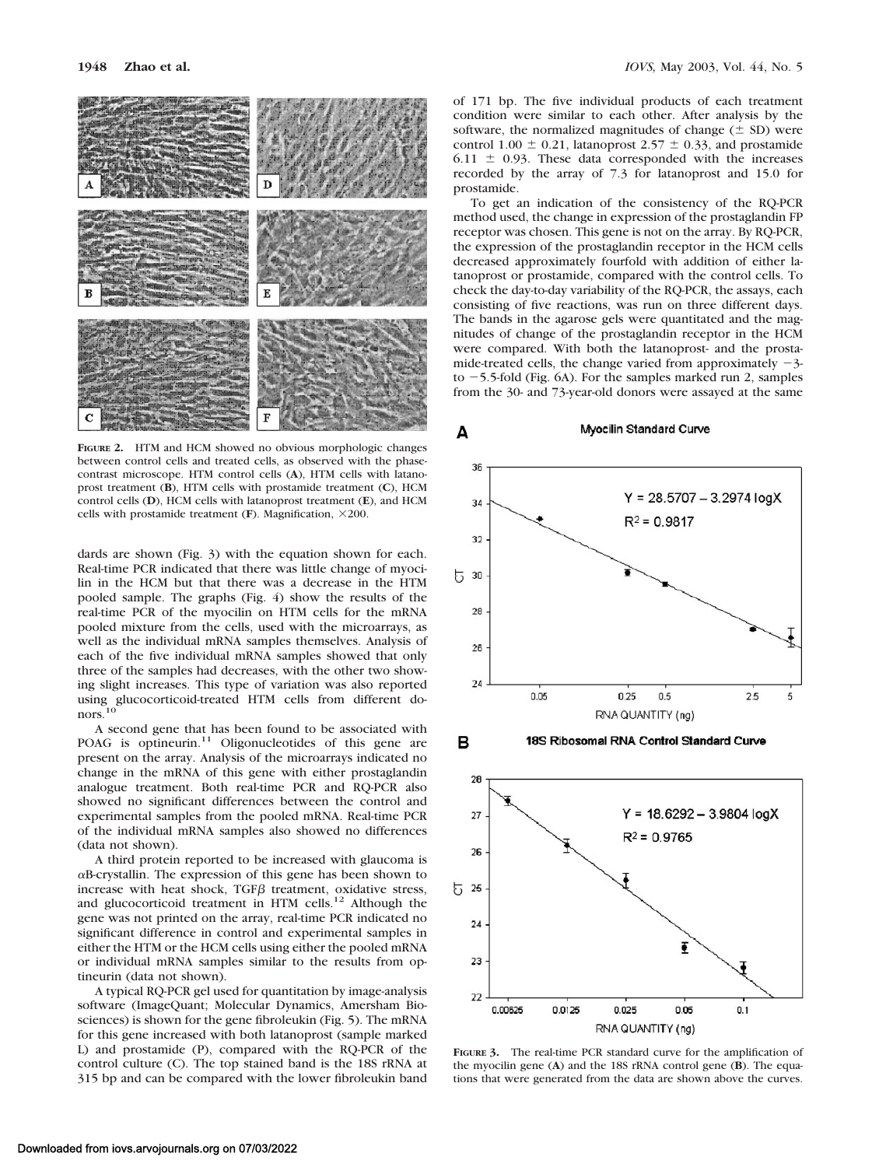

**FIGURE 2.** HTM and HCM showed no obvious morphologic changes between control cells and treated cells, as observed with the phasecontrast microscope. HTM control cells (**A**), HTM cells with latanoprost treatment (**B**), HTM cells with prostamide treatment (**C**), HCM control cells (**D**), HCM cells with latanoprost treatment (**E**), and HCM cells with prostamide treatment ( $\bf{F}$ ). Magnification,  $\times$ 200.

dards are shown (Fig. 3) with the equation shown for each. Real-time PCR indicated that there was little change of myocilin in the HCM but that there was a decrease in the HTM pooled sample. The graphs (Fig. 4) show the results of the real-time PCR of the myocilin on HTM cells for the mRNA pooled mixture from the cells, used with the microarrays, as well as the individual mRNA samples themselves. Analysis of each of the five individual mRNA samples showed that only three of the samples had decreases, with the other two showing slight increases. This type of variation was also reported using glucocorticoid-treated HTM cells from different donors.

A second gene that has been found to be associated with POAG is optineurin.<sup>11</sup> Oligonucleotides of this gene are present on the array. Analysis of the microarrays indicated no change in the mRNA of this gene with either prostaglandin analogue treatment. Both real-time PCR and RQ-PCR also showed no significant differences between the control and experimental samples from the pooled mRNA. Real-time PCR of the individual mRNA samples also showed no differences (data not shown).

A third protein reported to be increased with glaucoma is  $\alpha$ B-crystallin. The expression of this gene has been shown to increase with heat shock,  $TGF\beta$  treatment, oxidative stress, and glucocorticoid treatment in HTM cells.<sup>12</sup> Although the gene was not printed on the array, real-time PCR indicated no significant difference in control and experimental samples in either the HTM or the HCM cells using either the pooled mRNA or individual mRNA samples similar to the results from optineurin (data not shown).

A typical RQ-PCR gel used for quantitation by image-analysis software (ImageQuant; Molecular Dynamics, Amersham Biosciences) is shown for the gene fibroleukin (Fig. 5). The mRNA for this gene increased with both latanoprost (sample marked L) and prostamide (P), compared with the RQ-PCR of the control culture (C). The top stained band is the 18S rRNA at 315 bp and can be compared with the lower fibroleukin band of 171 bp. The five individual products of each treatment condition were similar to each other. After analysis by the software, the normalized magnitudes of change  $(\pm$  SD) were control 1.00  $\pm$  0.21, latanoprost 2.57  $\pm$  0.33, and prostamide 6.11  $\pm$  0.93. These data corresponded with the increases recorded by the array of 7.3 for latanoprost and 15.0 for prostamide.

To get an indication of the consistency of the RQ-PCR method used, the change in expression of the prostaglandin FP receptor was chosen. This gene is not on the array. By RQ-PCR, the expression of the prostaglandin receptor in the HCM cells decreased approximately fourfold with addition of either latanoprost or prostamide, compared with the control cells. To check the day-to-day variability of the RQ-PCR, the assays, each consisting of five reactions, was run on three different days. The bands in the agarose gels were quantitated and the magnitudes of change of the prostaglandin receptor in the HCM were compared. With both the latanoprost- and the prostamide-treated cells, the change varied from approximately  $-3$ to  $-5.5$ -fold (Fig. 6A). For the samples marked run 2, samples from the 30- and 73-year-old donors were assayed at the same

# Myocilin Standard Curve



в

A



**FIGURE 3.** The real-time PCR standard curve for the amplification of the myocilin gene (**A**) and the 18S rRNA control gene (**B**). The equations that were generated from the data are shown above the curves.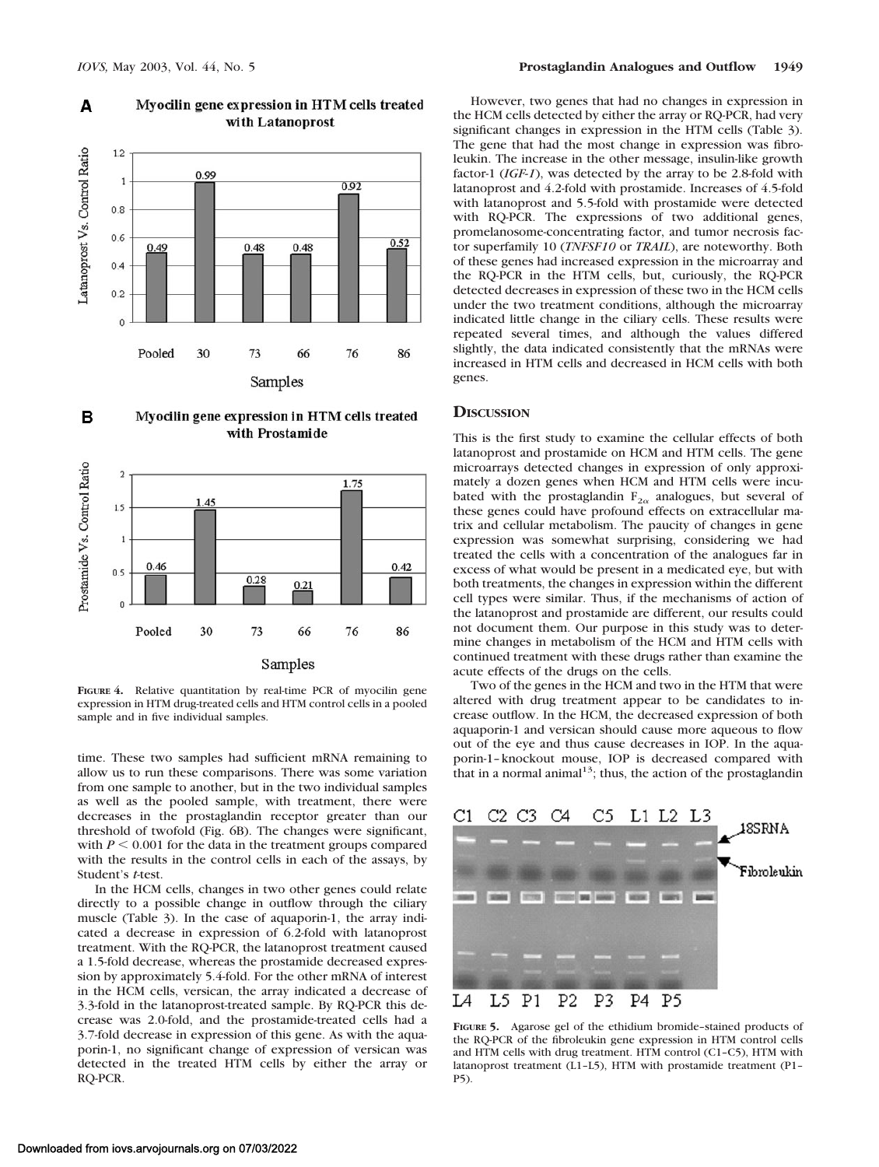

#### Myocilin gene expression in HTM cells treated A with Latanoprost





**FIGURE 4.** Relative quantitation by real-time PCR of myocilin gene expression in HTM drug-treated cells and HTM control cells in a pooled sample and in five individual samples.

time. These two samples had sufficient mRNA remaining to allow us to run these comparisons. There was some variation from one sample to another, but in the two individual samples as well as the pooled sample, with treatment, there were decreases in the prostaglandin receptor greater than our threshold of twofold (Fig. 6B). The changes were significant, with  $P \le 0.001$  for the data in the treatment groups compared with the results in the control cells in each of the assays, by Student's *t*-test.

In the HCM cells, changes in two other genes could relate directly to a possible change in outflow through the ciliary muscle (Table 3). In the case of aquaporin-1, the array indicated a decrease in expression of 6.2-fold with latanoprost treatment. With the RQ-PCR, the latanoprost treatment caused a 1.5-fold decrease, whereas the prostamide decreased expression by approximately 5.4-fold. For the other mRNA of interest in the HCM cells, versican, the array indicated a decrease of 3.3-fold in the latanoprost-treated sample. By RQ-PCR this decrease was 2.0-fold, and the prostamide-treated cells had a 3.7-fold decrease in expression of this gene. As with the aquaporin-1, no significant change of expression of versican was detected in the treated HTM cells by either the array or RQ-PCR.

However, two genes that had no changes in expression in the HCM cells detected by either the array or RQ-PCR, had very significant changes in expression in the HTM cells (Table 3). The gene that had the most change in expression was fibroleukin. The increase in the other message, insulin-like growth factor-1 (*IGF-1*), was detected by the array to be 2.8-fold with latanoprost and 4.2-fold with prostamide. Increases of 4.5-fold with latanoprost and 5.5-fold with prostamide were detected with RQ-PCR. The expressions of two additional genes, promelanosome-concentrating factor, and tumor necrosis factor superfamily 10 (*TNFSF10* or *TRAIL*), are noteworthy. Both of these genes had increased expression in the microarray and the RQ-PCR in the HTM cells, but, curiously, the RQ-PCR detected decreases in expression of these two in the HCM cells under the two treatment conditions, although the microarray indicated little change in the ciliary cells. These results were repeated several times, and although the values differed slightly, the data indicated consistently that the mRNAs were increased in HTM cells and decreased in HCM cells with both genes.

## **DISCUSSION**

This is the first study to examine the cellular effects of both latanoprost and prostamide on HCM and HTM cells. The gene microarrays detected changes in expression of only approximately a dozen genes when HCM and HTM cells were incubated with the prostaglandin  $F_{2\alpha}$  analogues, but several of these genes could have profound effects on extracellular matrix and cellular metabolism. The paucity of changes in gene expression was somewhat surprising, considering we had treated the cells with a concentration of the analogues far in excess of what would be present in a medicated eye, but with both treatments, the changes in expression within the different cell types were similar. Thus, if the mechanisms of action of the latanoprost and prostamide are different, our results could not document them. Our purpose in this study was to determine changes in metabolism of the HCM and HTM cells with continued treatment with these drugs rather than examine the acute effects of the drugs on the cells.

Two of the genes in the HCM and two in the HTM that were altered with drug treatment appear to be candidates to increase outflow. In the HCM, the decreased expression of both aquaporin-1 and versican should cause more aqueous to flow out of the eye and thus cause decreases in IOP. In the aquaporin-1–knockout mouse, IOP is decreased compared with that in a normal animal<sup>13</sup>; thus, the action of the prostaglandin



**FIGURE 5.** Agarose gel of the ethidium bromide–stained products of the RQ-PCR of the fibroleukin gene expression in HTM control cells and HTM cells with drug treatment. HTM control (C1–C5), HTM with latanoprost treatment (L1–L5), HTM with prostamide treatment (P1– P5).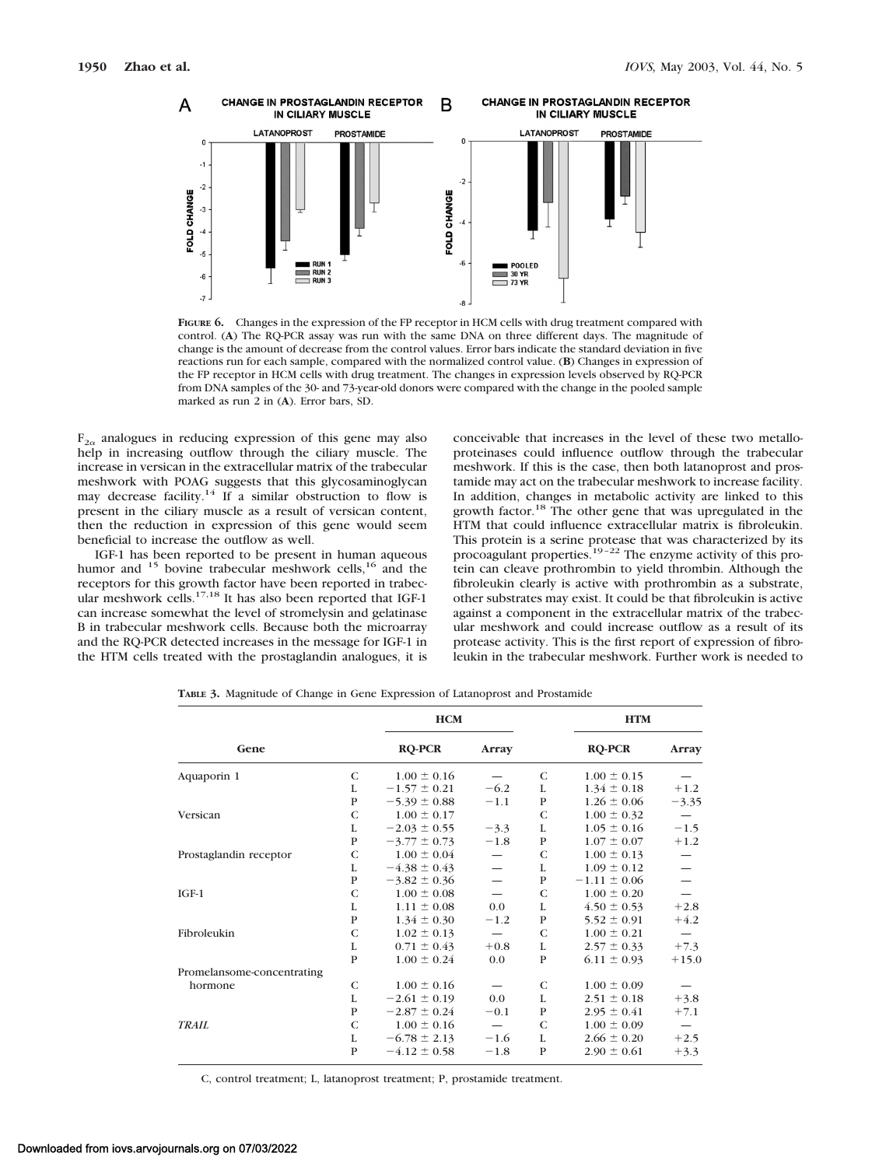

**FIGURE 6.** Changes in the expression of the FP receptor in HCM cells with drug treatment compared with control. (**A**) The RQ-PCR assay was run with the same DNA on three different days. The magnitude of change is the amount of decrease from the control values. Error bars indicate the standard deviation in five reactions run for each sample, compared with the normalized control value. (**B**) Changes in expression of the FP receptor in HCM cells with drug treatment. The changes in expression levels observed by RQ-PCR from DNA samples of the 30- and 73-year-old donors were compared with the change in the pooled sample marked as run 2 in (**A**). Error bars, SD.

 $F_{2\alpha}$  analogues in reducing expression of this gene may also help in increasing outflow through the ciliary muscle. The increase in versican in the extracellular matrix of the trabecular meshwork with POAG suggests that this glycosaminoglycan may decrease facility.14 If a similar obstruction to flow is present in the ciliary muscle as a result of versican content, then the reduction in expression of this gene would seem beneficial to increase the outflow as well.

IGF-1 has been reported to be present in human aqueous humor and  $15$  bovine trabecular meshwork cells,  $16$  and the receptors for this growth factor have been reported in trabecular meshwork cells.<sup>17,18</sup> It has also been reported that IGF-1 can increase somewhat the level of stromelysin and gelatinase B in trabecular meshwork cells. Because both the microarray and the RQ-PCR detected increases in the message for IGF-1 in the HTM cells treated with the prostaglandin analogues, it is

conceivable that increases in the level of these two metalloproteinases could influence outflow through the trabecular meshwork. If this is the case, then both latanoprost and prostamide may act on the trabecular meshwork to increase facility. In addition, changes in metabolic activity are linked to this growth factor.<sup>18</sup> The other gene that was upregulated in the HTM that could influence extracellular matrix is fibroleukin. This protein is a serine protease that was characterized by its procoagulant properties.<sup>19–22</sup> The enzyme activity of this protein can cleave prothrombin to yield thrombin. Although the fibroleukin clearly is active with prothrombin as a substrate, other substrates may exist. It could be that fibroleukin is active against a component in the extracellular matrix of the trabecular meshwork and could increase outflow as a result of its protease activity. This is the first report of expression of fibroleukin in the trabecular meshwork. Further work is needed to

|  |  |  | <b>TABLE 3.</b> Magnitude of Change in Gene Expression of Latanoprost and Prostamide |
|--|--|--|--------------------------------------------------------------------------------------|
|  |  |  |                                                                                      |

|                            |              | <b>HCM</b>       |                                  |              | <b>HTM</b>       |         |
|----------------------------|--------------|------------------|----------------------------------|--------------|------------------|---------|
| Gene                       |              | <b>RQ-PCR</b>    | Array                            |              | <b>RQ-PCR</b>    | Array   |
| Aquaporin 1                | C            | $1.00 \pm 0.16$  |                                  | C            | $1.00 \pm 0.15$  |         |
|                            | L            | $-1.57 \pm 0.21$ | $-6.2$                           | L            | $1.34 \pm 0.18$  | $+1.2$  |
|                            | $\mathbf{P}$ | $-5.39 \pm 0.88$ | $-1.1$                           | $\, {\bf P}$ | $1.26 \pm 0.06$  | $-3.35$ |
| Versican                   | C            | $1.00 \pm 0.17$  |                                  | $\mathsf{C}$ | $1.00 \pm 0.32$  |         |
|                            | L            | $-2.03 \pm 0.55$ | $-3.3$                           | L            | $1.05 \pm 0.16$  | $-1.5$  |
|                            | $\mathbf{P}$ | $-3.77 \pm 0.73$ | $-1.8$                           | ${\bf P}$    | $1.07 \pm 0.07$  | $+1.2$  |
| Prostaglandin receptor     | $\mathsf{C}$ | $1.00 \pm 0.04$  | $\qquad \qquad$                  | $\mathsf{C}$ | $1.00 \pm 0.13$  |         |
|                            | L            | $-4.38 \pm 0.43$ | $\overbrace{\phantom{12322111}}$ | L            | $1.09 \pm 0.12$  |         |
|                            | $\mathbf{P}$ | $-3.82 \pm 0.36$ |                                  | P            | $-1.11 \pm 0.06$ |         |
| $IGF-1$                    | C            | $1.00 \pm 0.08$  |                                  | $\mathsf{C}$ | $1.00 \pm 0.20$  |         |
|                            | L            | $1.11 \pm 0.08$  | 0.0                              | L            | $4.50 \pm 0.53$  | $+2.8$  |
|                            | $\mathbf{P}$ | $1.34 \pm 0.30$  | $-1.2$                           | $\, {\bf P}$ | $5.52 \pm 0.91$  | $+4.2$  |
| Fibroleukin                | $\mathsf{C}$ | $1.02 \pm 0.13$  |                                  | $\mathsf{C}$ | $1.00 \pm 0.21$  |         |
|                            | L            | $0.71 \pm 0.43$  | $+0.8$                           | L            | $2.57 \pm 0.33$  | $+7.3$  |
|                            | P            | $1.00 \pm 0.24$  | 0.0                              | $\mathbf{P}$ | $6.11 \pm 0.93$  | $+15.0$ |
| Promelansome-concentrating |              |                  |                                  |              |                  |         |
| hormone                    | $\mathsf{C}$ | $1.00 \pm 0.16$  |                                  | $\mathsf{C}$ | $1.00 \pm 0.09$  |         |
|                            | L            | $-2.61 \pm 0.19$ | 0.0                              | L            | $2.51 \pm 0.18$  | $+3.8$  |
|                            | $\mathbf{P}$ | $-2.87 \pm 0.24$ | $-0.1$                           | P            | $2.95 \pm 0.41$  | $+7.1$  |
| <b>TRAIL</b>               | $\mathsf{C}$ | $1.00 \pm 0.16$  |                                  | $\mathsf{C}$ | $1.00 \pm 0.09$  |         |
|                            | L            | $-6.78 \pm 2.13$ | $-1.6$                           | L            | $2.66 \pm 0.20$  | $+2.5$  |
|                            | P            | $-4.12 \pm 0.58$ | $-1.8$                           | P            | $2.90 \pm 0.61$  | $+3.3$  |

C, control treatment; L, latanoprost treatment; P, prostamide treatment.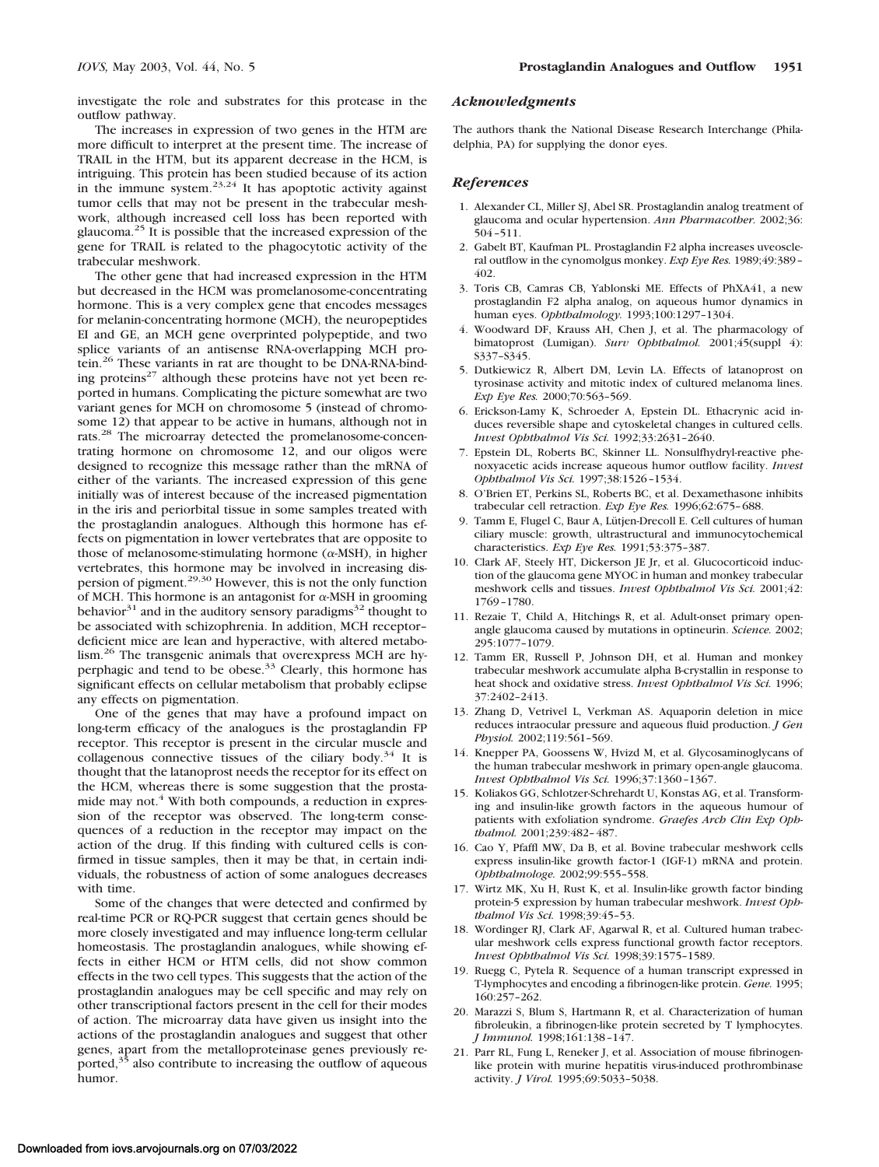investigate the role and substrates for this protease in the outflow pathway.

The increases in expression of two genes in the HTM are more difficult to interpret at the present time. The increase of TRAIL in the HTM, but its apparent decrease in the HCM, is intriguing. This protein has been studied because of its action<br>in the immune system.<sup>23,24</sup> It has apoptotic activity against tumor cells that may not be present in the trabecular meshwork, although increased cell loss has been reported with glaucoma.25 It is possible that the increased expression of the gene for TRAIL is related to the phagocytotic activity of the trabecular meshwork.

The other gene that had increased expression in the HTM but decreased in the HCM was promelanosome-concentrating hormone. This is a very complex gene that encodes messages for melanin-concentrating hormone (MCH), the neuropeptides EI and GE, an MCH gene overprinted polypeptide, and two splice variants of an antisense RNA-overlapping MCH protein.26 These variants in rat are thought to be DNA-RNA-binding proteins<sup>27</sup> although these proteins have not yet been reported in humans. Complicating the picture somewhat are two variant genes for MCH on chromosome 5 (instead of chromosome 12) that appear to be active in humans, although not in rats.28 The microarray detected the promelanosome-concentrating hormone on chromosome 12, and our oligos were designed to recognize this message rather than the mRNA of either of the variants. The increased expression of this gene initially was of interest because of the increased pigmentation in the iris and periorbital tissue in some samples treated with the prostaglandin analogues. Although this hormone has effects on pigmentation in lower vertebrates that are opposite to those of melanosome-stimulating hormone ( $\alpha$ -MSH), in higher vertebrates, this hormone may be involved in increasing dispersion of pigment.29,30 However, this is not the only function of MCH. This hormone is an antagonist for  $\alpha$ -MSH in grooming behavior $31$  and in the auditory sensory paradigms $32$  thought to be associated with schizophrenia. In addition, MCH receptor– deficient mice are lean and hyperactive, with altered metabolism.26 The transgenic animals that overexpress MCH are hyperphagic and tend to be obese.<sup>33</sup> Clearly, this hormone has significant effects on cellular metabolism that probably eclipse any effects on pigmentation.

One of the genes that may have a profound impact on long-term efficacy of the analogues is the prostaglandin FP receptor. This receptor is present in the circular muscle and collagenous connective tissues of the ciliary body. $34$  It is thought that the latanoprost needs the receptor for its effect on the HCM, whereas there is some suggestion that the prostamide may not.<sup>4</sup> With both compounds, a reduction in expression of the receptor was observed. The long-term consequences of a reduction in the receptor may impact on the action of the drug. If this finding with cultured cells is confirmed in tissue samples, then it may be that, in certain individuals, the robustness of action of some analogues decreases with time.

Some of the changes that were detected and confirmed by real-time PCR or RQ-PCR suggest that certain genes should be more closely investigated and may influence long-term cellular homeostasis. The prostaglandin analogues, while showing effects in either HCM or HTM cells, did not show common effects in the two cell types. This suggests that the action of the prostaglandin analogues may be cell specific and may rely on other transcriptional factors present in the cell for their modes of action. The microarray data have given us insight into the actions of the prostaglandin analogues and suggest that other genes, apart from the metalloproteinase genes previously reported, $35$  also contribute to increasing the outflow of aqueous humor.

## *Acknowledgments*

The authors thank the National Disease Research Interchange (Philadelphia, PA) for supplying the donor eyes.

## *References*

- 1. Alexander CL, Miller SJ, Abel SR. Prostaglandin analog treatment of glaucoma and ocular hypertension. *Ann Pharmacother.* 2002;36: 504–511.
- 2. Gabelt BT, Kaufman PL. Prostaglandin F2 alpha increases uveoscleral outflow in the cynomolgus monkey. *Exp Eye Res.* 1989;49:389– 402.
- 3. Toris CB, Camras CB, Yablonski ME. Effects of PhXA41, a new prostaglandin F2 alpha analog, on aqueous humor dynamics in human eyes. *Ophthalmology.* 1993;100:1297–1304.
- 4. Woodward DF, Krauss AH, Chen J, et al. The pharmacology of bimatoprost (Lumigan). *Surv Ophthalmol.* 2001;45(suppl 4): S337–S345.
- 5. Dutkiewicz R, Albert DM, Levin LA. Effects of latanoprost on tyrosinase activity and mitotic index of cultured melanoma lines. *Exp Eye Res.* 2000;70:563–569.
- 6. Erickson-Lamy K, Schroeder A, Epstein DL. Ethacrynic acid induces reversible shape and cytoskeletal changes in cultured cells. *Invest Ophthalmol Vis Sci.* 1992;33:2631–2640.
- 7. Epstein DL, Roberts BC, Skinner LL. Nonsulfhydryl-reactive phenoxyacetic acids increase aqueous humor outflow facility. *Invest Ophthalmol Vis Sci.* 1997;38:1526–1534.
- 8. O'Brien ET, Perkins SL, Roberts BC, et al. Dexamethasone inhibits trabecular cell retraction. *Exp Eye Res.* 1996;62:675–688.
- 9. Tamm E, Flugel C, Baur A, Lütjen-Drecoll E. Cell cultures of human ciliary muscle: growth, ultrastructural and immunocytochemical characteristics. *Exp Eye Res.* 1991;53:375–387.
- 10. Clark AF, Steely HT, Dickerson JE Jr, et al. Glucocorticoid induction of the glaucoma gene MYOC in human and monkey trabecular meshwork cells and tissues. *Invest Ophthalmol Vis Sci.* 2001;42: 1769–1780.
- 11. Rezaie T, Child A, Hitchings R, et al. Adult-onset primary openangle glaucoma caused by mutations in optineurin. *Science.* 2002; 295:1077–1079.
- 12. Tamm ER, Russell P, Johnson DH, et al. Human and monkey trabecular meshwork accumulate alpha B-crystallin in response to heat shock and oxidative stress. *Invest Ophthalmol Vis Sci.* 1996; 37:2402–2413.
- 13. Zhang D, Vetrivel L, Verkman AS. Aquaporin deletion in mice reduces intraocular pressure and aqueous fluid production. *J Gen Physiol.* 2002;119:561–569.
- 14. Knepper PA, Goossens W, Hvizd M, et al. Glycosaminoglycans of the human trabecular meshwork in primary open-angle glaucoma. *Invest Ophthalmol Vis Sci.* 1996;37:1360–1367.
- 15. Koliakos GG, Schlotzer-Schrehardt U, Konstas AG, et al. Transforming and insulin-like growth factors in the aqueous humour of patients with exfoliation syndrome. *Graefes Arch Clin Exp Ophthalmol.* 2001;239:482–487.
- 16. Cao Y, Pfaffl MW, Da B, et al. Bovine trabecular meshwork cells express insulin-like growth factor-1 (IGF-1) mRNA and protein. *Ophthalmologe.* 2002;99:555–558.
- 17. Wirtz MK, Xu H, Rust K, et al. Insulin-like growth factor binding protein-5 expression by human trabecular meshwork. *Invest Ophthalmol Vis Sci.* 1998;39:45–53.
- 18. Wordinger RJ, Clark AF, Agarwal R, et al. Cultured human trabecular meshwork cells express functional growth factor receptors. *Invest Ophthalmol Vis Sci.* 1998;39:1575–1589.
- 19. Ruegg C, Pytela R. Sequence of a human transcript expressed in T-lymphocytes and encoding a fibrinogen-like protein. *Gene.* 1995; 160:257–262.
- 20. Marazzi S, Blum S, Hartmann R, et al. Characterization of human fibroleukin, a fibrinogen-like protein secreted by T lymphocytes. *J Immunol.* 1998;161:138–147.
- 21. Parr RL, Fung L, Reneker J, et al. Association of mouse fibrinogenlike protein with murine hepatitis virus-induced prothrombinase activity. *J Virol.* 1995;69:5033–5038.